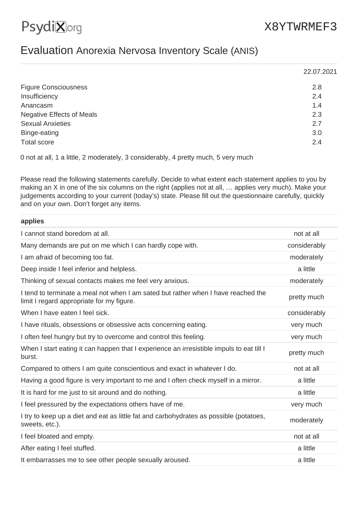## X8YTWRMEF3

## Evaluation Anorexia Nervosa Inventory Scale (ANIS)

|                                  | 22.07.2021 |
|----------------------------------|------------|
| <b>Figure Consciousness</b>      | 2.8        |
| Insufficiency                    | 2.4        |
| Anancasm                         | 1.4        |
| <b>Negative Effects of Meals</b> | 2.3        |
| <b>Sexual Anxieties</b>          | 2.7        |
| Binge-eating                     | 3.0        |
| <b>Total score</b>               | 2.4        |

0 not at all, 1 a little, 2 moderately, 3 considerably, 4 pretty much, 5 very much

Please read the following statements carefully. Decide to what extent each statement applies to you by making an X in one of the six columns on the right (applies not at all, … applies very much). Make your judgements according to your current (today's) state. Please fill out the questionnaire carefully, quickly and on your own. Don't forget any items.

| applies                                                                                                                        |              |
|--------------------------------------------------------------------------------------------------------------------------------|--------------|
| I cannot stand boredom at all.                                                                                                 | not at all   |
| Many demands are put on me which I can hardly cope with.                                                                       | considerably |
| I am afraid of becoming too fat.                                                                                               | moderately   |
| Deep inside I feel inferior and helpless.                                                                                      | a little     |
| Thinking of sexual contacts makes me feel very anxious.                                                                        | moderately   |
| I tend to terminate a meal not when I am sated but rather when I have reached the<br>limit I regard appropriate for my figure. | pretty much  |
| When I have eaten I feel sick.                                                                                                 | considerably |
| I have rituals, obsessions or obsessive acts concerning eating.                                                                | very much    |
| I often feel hungry but try to overcome and control this feeling.                                                              | very much    |
| When I start eating it can happen that I experience an irresistible impuls to eat till I<br>burst.                             | pretty much  |
| Compared to others I am quite conscientious and exact in whatever I do.                                                        | not at all   |
| Having a good figure is very important to me and I often check myself in a mirror.                                             | a little     |
| It is hard for me just to sit around and do nothing.                                                                           | a little     |
| I feel pressured by the expectations others have of me.                                                                        | very much    |
| I try to keep up a diet and eat as little fat and carbohydrates as possible (potatoes,<br>sweets, etc.).                       | moderately   |
| I feel bloated and empty.                                                                                                      | not at all   |
| After eating I feel stuffed.                                                                                                   | a little     |
| It embarrasses me to see other people sexually aroused.                                                                        | a little     |